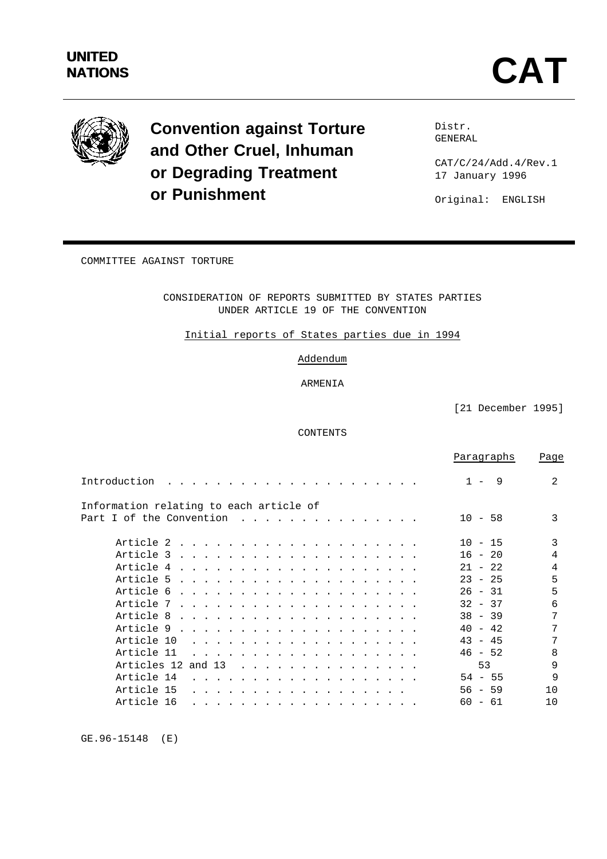

**Convention against Torture and Other Cruel, Inhuman or Degrading Treatment or Punishment**

Distr. GENERAL

CAT/C/24/Add.4/Rev.1 17 January 1996

Original: ENGLISH

COMMITTEE AGAINST TORTURE

CONSIDERATION OF REPORTS SUBMITTED BY STATES PARTIES UNDER ARTICLE 19 OF THE CONVENTION

Initial reports of States parties due in 1994

Addendum

ARMENIA

[21 December 1995]

CONTENTS

|                                                                                                                                                                                                                                             | Paragraphs  | Page |
|---------------------------------------------------------------------------------------------------------------------------------------------------------------------------------------------------------------------------------------------|-------------|------|
| Introduction                                                                                                                                                                                                                                | -9<br>$1 -$ | 2    |
| Information relating to each article of                                                                                                                                                                                                     |             |      |
| Part I of the Convention<br>$\frac{1}{2}$                                                                                                                                                                                                   | $10 - 58$   | 3    |
|                                                                                                                                                                                                                                             | $10 - 15$   | 3    |
|                                                                                                                                                                                                                                             | $16 - 20$   | 4    |
|                                                                                                                                                                                                                                             | $21 - 22$   | 4    |
| Article 5                                                                                                                                                                                                                                   | $23 - 25$   | 5    |
|                                                                                                                                                                                                                                             | $26 - 31$   | 5    |
|                                                                                                                                                                                                                                             | $32 - 37$   | 6    |
| Article 8                                                                                                                                                                                                                                   | $38 - 39$   | 7    |
| Article 9<br>. The contract of the contract of the contract of the contract of the contract of the contract of the contract of the contract of the contract of the contract of the contract of the contract of the contract of the contrac  | $40 - 42$   | 7    |
| Article 10<br>.                                                                                                                                                                                                                             | $43 - 45$   | 7    |
| Article 11<br>.                                                                                                                                                                                                                             | $46 - 52$   | 8    |
| Articles 12 and 13<br>$\mathbf{r}$ , $\mathbf{r}$ , $\mathbf{r}$ , $\mathbf{r}$ , $\mathbf{r}$ , $\mathbf{r}$ , $\mathbf{r}$ , $\mathbf{r}$ , $\mathbf{r}$ , $\mathbf{r}$ , $\mathbf{r}$                                                    | 53          | 9    |
| Article 14<br>a construction of the construction of the construction of the construction of the construction of the construction of the construction of the construction of the construction of the construction of the construction of the | $54 - 55$   | 9    |
| Article 15<br>.                                                                                                                                                                                                                             | $56 - 59$   | 10   |
| Article 16                                                                                                                                                                                                                                  | $60 - 61$   | 10   |
|                                                                                                                                                                                                                                             |             |      |

GE.96-15148 (E)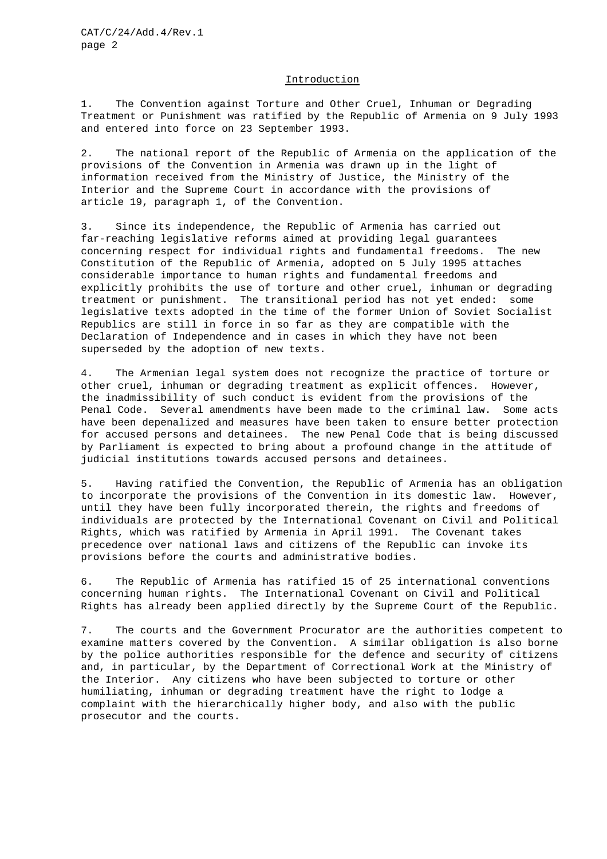## Introduction

1. The Convention against Torture and Other Cruel, Inhuman or Degrading Treatment or Punishment was ratified by the Republic of Armenia on 9 July 1993 and entered into force on 23 September 1993.

2. The national report of the Republic of Armenia on the application of the provisions of the Convention in Armenia was drawn up in the light of information received from the Ministry of Justice, the Ministry of the Interior and the Supreme Court in accordance with the provisions of article 19, paragraph 1, of the Convention.

3. Since its independence, the Republic of Armenia has carried out far-reaching legislative reforms aimed at providing legal guarantees concerning respect for individual rights and fundamental freedoms. The new Constitution of the Republic of Armenia, adopted on 5 July 1995 attaches considerable importance to human rights and fundamental freedoms and explicitly prohibits the use of torture and other cruel, inhuman or degrading treatment or punishment. The transitional period has not yet ended: some legislative texts adopted in the time of the former Union of Soviet Socialist Republics are still in force in so far as they are compatible with the Declaration of Independence and in cases in which they have not been superseded by the adoption of new texts.

4. The Armenian legal system does not recognize the practice of torture or other cruel, inhuman or degrading treatment as explicit offences. However, the inadmissibility of such conduct is evident from the provisions of the Penal Code. Several amendments have been made to the criminal law. Some acts have been depenalized and measures have been taken to ensure better protection for accused persons and detainees. The new Penal Code that is being discussed by Parliament is expected to bring about a profound change in the attitude of judicial institutions towards accused persons and detainees.

5. Having ratified the Convention, the Republic of Armenia has an obligation to incorporate the provisions of the Convention in its domestic law. However, until they have been fully incorporated therein, the rights and freedoms of individuals are protected by the International Covenant on Civil and Political Rights, which was ratified by Armenia in April 1991. The Covenant takes precedence over national laws and citizens of the Republic can invoke its provisions before the courts and administrative bodies.

6. The Republic of Armenia has ratified 15 of 25 international conventions concerning human rights. The International Covenant on Civil and Political Rights has already been applied directly by the Supreme Court of the Republic.

7. The courts and the Government Procurator are the authorities competent to examine matters covered by the Convention. A similar obligation is also borne by the police authorities responsible for the defence and security of citizens and, in particular, by the Department of Correctional Work at the Ministry of the Interior. Any citizens who have been subjected to torture or other humiliating, inhuman or degrading treatment have the right to lodge a complaint with the hierarchically higher body, and also with the public prosecutor and the courts.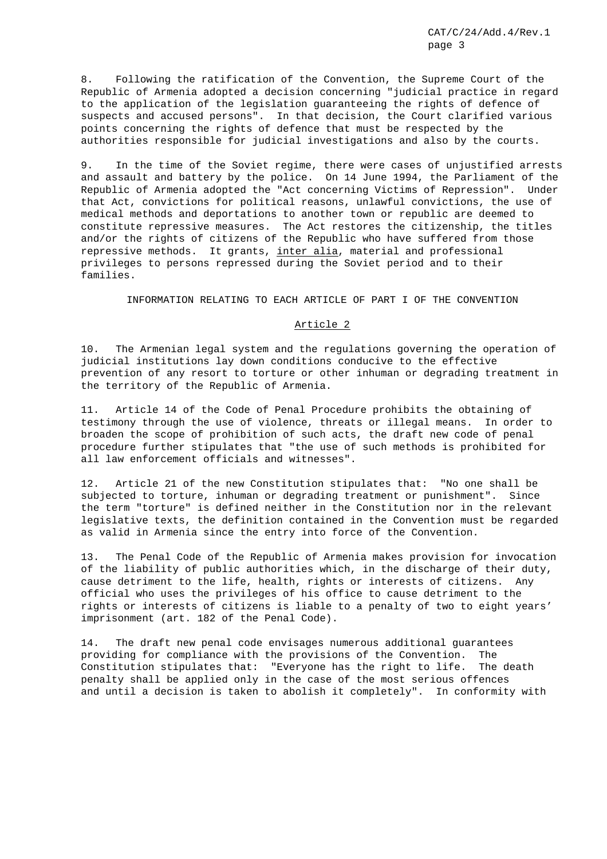8. Following the ratification of the Convention, the Supreme Court of the Republic of Armenia adopted a decision concerning "judicial practice in regard to the application of the legislation guaranteeing the rights of defence of suspects and accused persons". In that decision, the Court clarified various points concerning the rights of defence that must be respected by the authorities responsible for judicial investigations and also by the courts.

9. In the time of the Soviet regime, there were cases of unjustified arrests and assault and battery by the police. On 14 June 1994, the Parliament of the Republic of Armenia adopted the "Act concerning Victims of Repression". Under that Act, convictions for political reasons, unlawful convictions, the use of medical methods and deportations to another town or republic are deemed to constitute repressive measures. The Act restores the citizenship, the titles and/or the rights of citizens of the Republic who have suffered from those repressive methods. It grants, inter alia, material and professional privileges to persons repressed during the Soviet period and to their families.

## INFORMATION RELATING TO EACH ARTICLE OF PART I OF THE CONVENTION

# Article 2

10. The Armenian legal system and the regulations governing the operation of judicial institutions lay down conditions conducive to the effective prevention of any resort to torture or other inhuman or degrading treatment in the territory of the Republic of Armenia.

11. Article 14 of the Code of Penal Procedure prohibits the obtaining of testimony through the use of violence, threats or illegal means. In order to broaden the scope of prohibition of such acts, the draft new code of penal procedure further stipulates that "the use of such methods is prohibited for all law enforcement officials and witnesses".

12. Article 21 of the new Constitution stipulates that: "No one shall be subjected to torture, inhuman or degrading treatment or punishment". Since the term "torture" is defined neither in the Constitution nor in the relevant legislative texts, the definition contained in the Convention must be regarded as valid in Armenia since the entry into force of the Convention.

13. The Penal Code of the Republic of Armenia makes provision for invocation of the liability of public authorities which, in the discharge of their duty, cause detriment to the life, health, rights or interests of citizens. Any official who uses the privileges of his office to cause detriment to the rights or interests of citizens is liable to a penalty of two to eight years' imprisonment (art. 182 of the Penal Code).

14. The draft new penal code envisages numerous additional guarantees providing for compliance with the provisions of the Convention. The Constitution stipulates that: "Everyone has the right to life. The death penalty shall be applied only in the case of the most serious offences and until a decision is taken to abolish it completely". In conformity with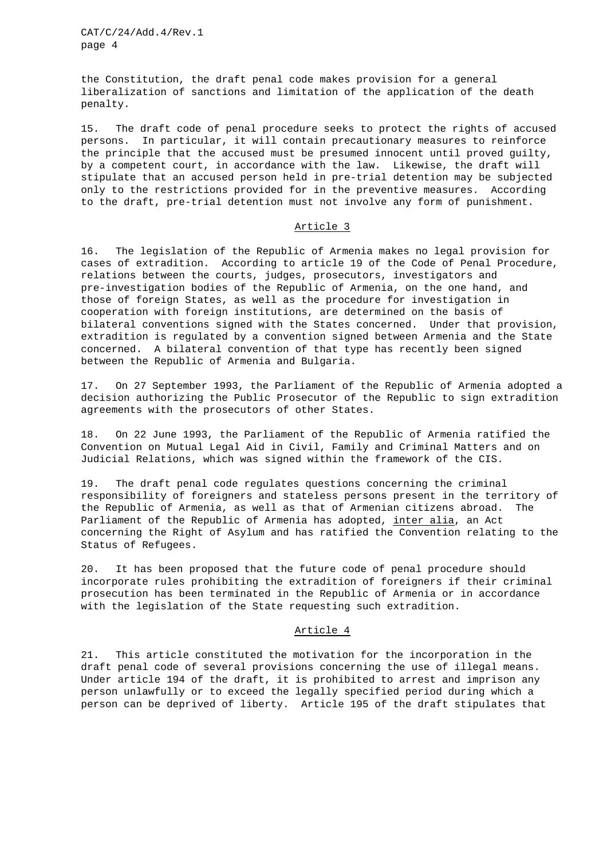the Constitution, the draft penal code makes provision for a general liberalization of sanctions and limitation of the application of the death penalty.

15. The draft code of penal procedure seeks to protect the rights of accused persons. In particular, it will contain precautionary measures to reinforce the principle that the accused must be presumed innocent until proved guilty, by a competent court, in accordance with the law. Likewise, the draft will stipulate that an accused person held in pre-trial detention may be subjected only to the restrictions provided for in the preventive measures. According to the draft, pre-trial detention must not involve any form of punishment.

## Article 3

16. The legislation of the Republic of Armenia makes no legal provision for cases of extradition. According to article 19 of the Code of Penal Procedure, relations between the courts, judges, prosecutors, investigators and pre-investigation bodies of the Republic of Armenia, on the one hand, and those of foreign States, as well as the procedure for investigation in cooperation with foreign institutions, are determined on the basis of bilateral conventions signed with the States concerned. Under that provision, extradition is regulated by a convention signed between Armenia and the State concerned. A bilateral convention of that type has recently been signed between the Republic of Armenia and Bulgaria.

17. On 27 September 1993, the Parliament of the Republic of Armenia adopted a decision authorizing the Public Prosecutor of the Republic to sign extradition agreements with the prosecutors of other States.

18. On 22 June 1993, the Parliament of the Republic of Armenia ratified the Convention on Mutual Legal Aid in Civil, Family and Criminal Matters and on Judicial Relations, which was signed within the framework of the CIS.

19. The draft penal code regulates questions concerning the criminal responsibility of foreigners and stateless persons present in the territory of the Republic of Armenia, as well as that of Armenian citizens abroad. The Parliament of the Republic of Armenia has adopted, inter alia, an Act concerning the Right of Asylum and has ratified the Convention relating to the Status of Refugees.

20. It has been proposed that the future code of penal procedure should incorporate rules prohibiting the extradition of foreigners if their criminal prosecution has been terminated in the Republic of Armenia or in accordance with the legislation of the State requesting such extradition.

#### Article 4

21. This article constituted the motivation for the incorporation in the draft penal code of several provisions concerning the use of illegal means. Under article 194 of the draft, it is prohibited to arrest and imprison any person unlawfully or to exceed the legally specified period during which a person can be deprived of liberty. Article 195 of the draft stipulates that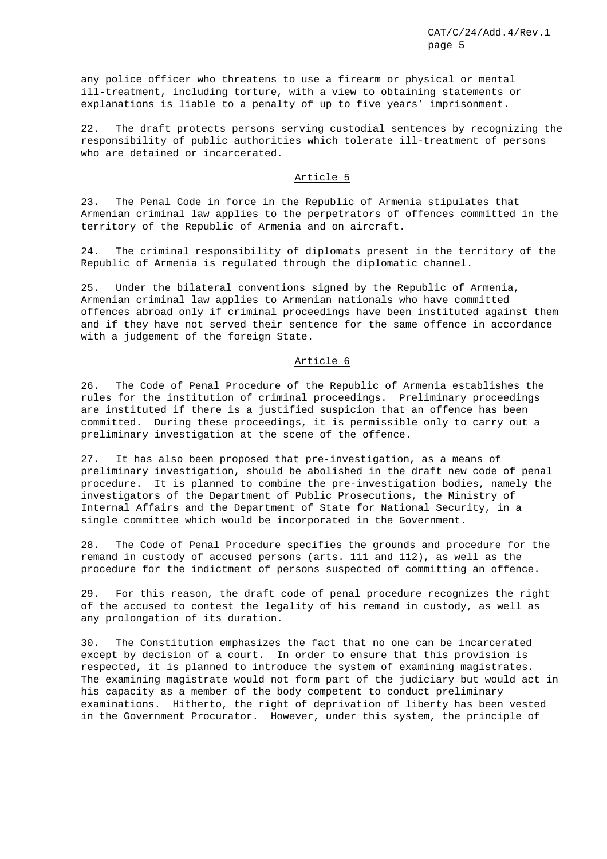any police officer who threatens to use a firearm or physical or mental ill-treatment, including torture, with a view to obtaining statements or explanations is liable to a penalty of up to five years' imprisonment.

22. The draft protects persons serving custodial sentences by recognizing the responsibility of public authorities which tolerate ill-treatment of persons who are detained or incarcerated.

# Article 5

23. The Penal Code in force in the Republic of Armenia stipulates that Armenian criminal law applies to the perpetrators of offences committed in the territory of the Republic of Armenia and on aircraft.

24. The criminal responsibility of diplomats present in the territory of the Republic of Armenia is regulated through the diplomatic channel.

25. Under the bilateral conventions signed by the Republic of Armenia, Armenian criminal law applies to Armenian nationals who have committed offences abroad only if criminal proceedings have been instituted against them and if they have not served their sentence for the same offence in accordance with a judgement of the foreign State.

## Article 6

26. The Code of Penal Procedure of the Republic of Armenia establishes the rules for the institution of criminal proceedings. Preliminary proceedings are instituted if there is a justified suspicion that an offence has been committed. During these proceedings, it is permissible only to carry out a preliminary investigation at the scene of the offence.

27. It has also been proposed that pre-investigation, as a means of preliminary investigation, should be abolished in the draft new code of penal procedure. It is planned to combine the pre-investigation bodies, namely the investigators of the Department of Public Prosecutions, the Ministry of Internal Affairs and the Department of State for National Security, in a single committee which would be incorporated in the Government.

28. The Code of Penal Procedure specifies the grounds and procedure for the remand in custody of accused persons (arts. 111 and 112), as well as the procedure for the indictment of persons suspected of committing an offence.

29. For this reason, the draft code of penal procedure recognizes the right of the accused to contest the legality of his remand in custody, as well as any prolongation of its duration.

30. The Constitution emphasizes the fact that no one can be incarcerated except by decision of a court. In order to ensure that this provision is respected, it is planned to introduce the system of examining magistrates. The examining magistrate would not form part of the judiciary but would act in his capacity as a member of the body competent to conduct preliminary examinations. Hitherto, the right of deprivation of liberty has been vested in the Government Procurator. However, under this system, the principle of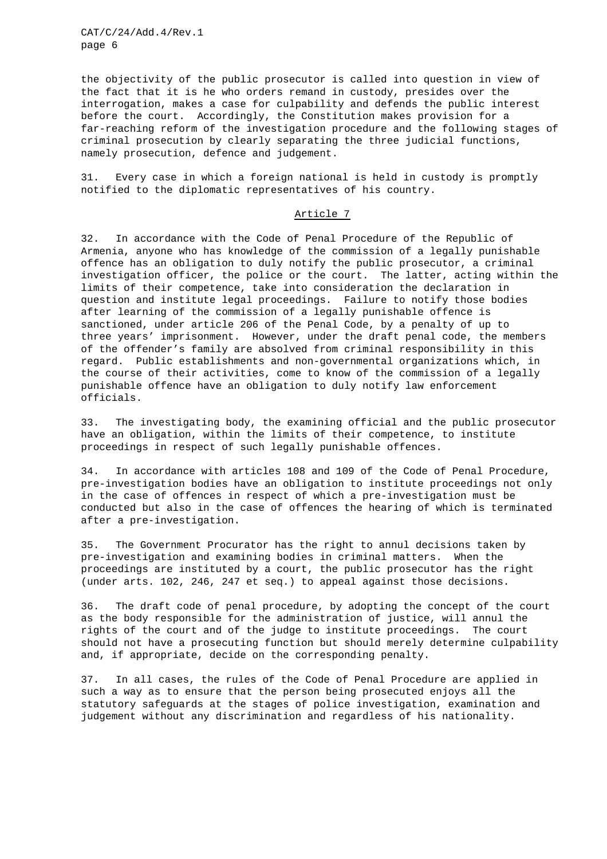the objectivity of the public prosecutor is called into question in view of the fact that it is he who orders remand in custody, presides over the interrogation, makes a case for culpability and defends the public interest before the court. Accordingly, the Constitution makes provision for a far-reaching reform of the investigation procedure and the following stages of criminal prosecution by clearly separating the three judicial functions, namely prosecution, defence and judgement.

31. Every case in which a foreign national is held in custody is promptly notified to the diplomatic representatives of his country.

## Article 7

32. In accordance with the Code of Penal Procedure of the Republic of Armenia, anyone who has knowledge of the commission of a legally punishable offence has an obligation to duly notify the public prosecutor, a criminal investigation officer, the police or the court. The latter, acting within the limits of their competence, take into consideration the declaration in question and institute legal proceedings. Failure to notify those bodies after learning of the commission of a legally punishable offence is sanctioned, under article 206 of the Penal Code, by a penalty of up to three years' imprisonment. However, under the draft penal code, the members of the offender's family are absolved from criminal responsibility in this regard. Public establishments and non-governmental organizations which, in the course of their activities, come to know of the commission of a legally punishable offence have an obligation to duly notify law enforcement officials.

33. The investigating body, the examining official and the public prosecutor have an obligation, within the limits of their competence, to institute proceedings in respect of such legally punishable offences.

34. In accordance with articles 108 and 109 of the Code of Penal Procedure, pre-investigation bodies have an obligation to institute proceedings not only in the case of offences in respect of which a pre-investigation must be conducted but also in the case of offences the hearing of which is terminated after a pre-investigation.

35. The Government Procurator has the right to annul decisions taken by pre-investigation and examining bodies in criminal matters. When the proceedings are instituted by a court, the public prosecutor has the right (under arts. 102, 246, 247 et seq.) to appeal against those decisions.

36. The draft code of penal procedure, by adopting the concept of the court as the body responsible for the administration of justice, will annul the rights of the court and of the judge to institute proceedings. The court should not have a prosecuting function but should merely determine culpability and, if appropriate, decide on the corresponding penalty.

37. In all cases, the rules of the Code of Penal Procedure are applied in such a way as to ensure that the person being prosecuted enjoys all the statutory safeguards at the stages of police investigation, examination and judgement without any discrimination and regardless of his nationality.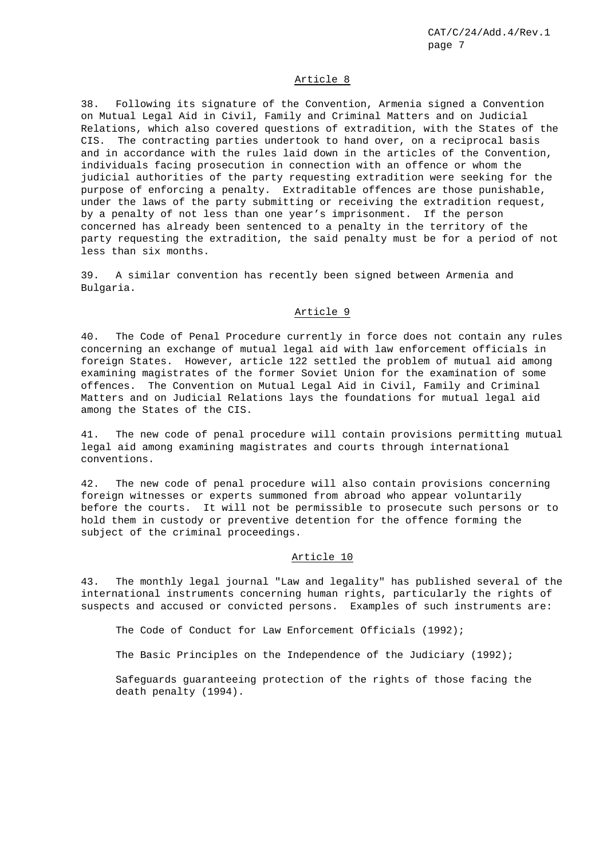#### Article 8

38. Following its signature of the Convention, Armenia signed a Convention on Mutual Legal Aid in Civil, Family and Criminal Matters and on Judicial Relations, which also covered questions of extradition, with the States of the CIS. The contracting parties undertook to hand over, on a reciprocal basis and in accordance with the rules laid down in the articles of the Convention, individuals facing prosecution in connection with an offence or whom the judicial authorities of the party requesting extradition were seeking for the purpose of enforcing a penalty. Extraditable offences are those punishable, under the laws of the party submitting or receiving the extradition request, by a penalty of not less than one year's imprisonment. If the person concerned has already been sentenced to a penalty in the territory of the party requesting the extradition, the said penalty must be for a period of not less than six months.

39. A similar convention has recently been signed between Armenia and Bulgaria.

## Article 9

40. The Code of Penal Procedure currently in force does not contain any rules concerning an exchange of mutual legal aid with law enforcement officials in foreign States. However, article 122 settled the problem of mutual aid among examining magistrates of the former Soviet Union for the examination of some offences. The Convention on Mutual Legal Aid in Civil, Family and Criminal Matters and on Judicial Relations lays the foundations for mutual legal aid among the States of the CIS.

41. The new code of penal procedure will contain provisions permitting mutual legal aid among examining magistrates and courts through international conventions.

42. The new code of penal procedure will also contain provisions concerning foreign witnesses or experts summoned from abroad who appear voluntarily before the courts. It will not be permissible to prosecute such persons or to hold them in custody or preventive detention for the offence forming the subject of the criminal proceedings.

## Article 10

43. The monthly legal journal "Law and legality" has published several of the international instruments concerning human rights, particularly the rights of suspects and accused or convicted persons. Examples of such instruments are:

The Code of Conduct for Law Enforcement Officials (1992);

The Basic Principles on the Independence of the Judiciary (1992);

Safeguards guaranteeing protection of the rights of those facing the death penalty (1994).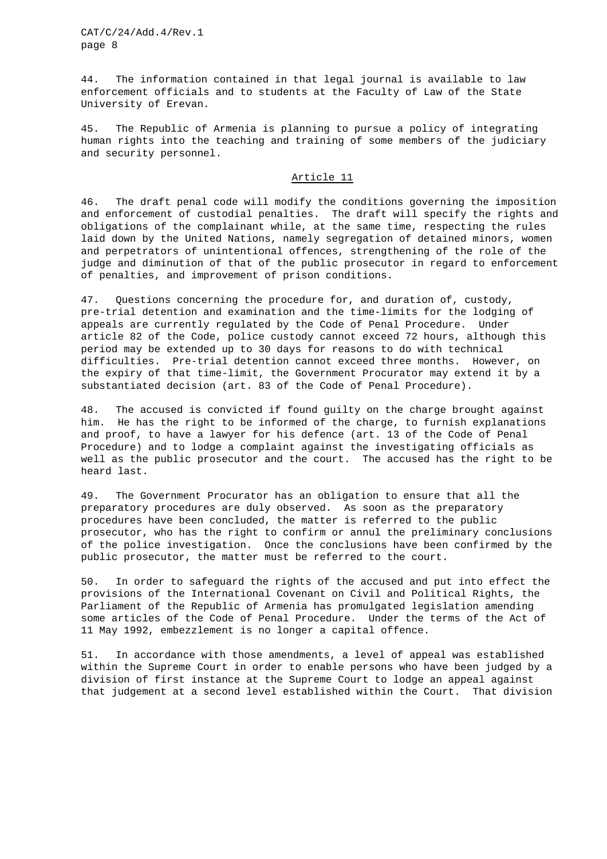44. The information contained in that legal journal is available to law enforcement officials and to students at the Faculty of Law of the State University of Erevan.

45. The Republic of Armenia is planning to pursue a policy of integrating human rights into the teaching and training of some members of the judiciary and security personnel.

## Article 11

46. The draft penal code will modify the conditions governing the imposition and enforcement of custodial penalties. The draft will specify the rights and obligations of the complainant while, at the same time, respecting the rules laid down by the United Nations, namely segregation of detained minors, women and perpetrators of unintentional offences, strengthening of the role of the judge and diminution of that of the public prosecutor in regard to enforcement of penalties, and improvement of prison conditions.

47. Questions concerning the procedure for, and duration of, custody, pre-trial detention and examination and the time-limits for the lodging of appeals are currently regulated by the Code of Penal Procedure. Under article 82 of the Code, police custody cannot exceed 72 hours, although this period may be extended up to 30 days for reasons to do with technical difficulties. Pre-trial detention cannot exceed three months. However, on the expiry of that time-limit, the Government Procurator may extend it by a substantiated decision (art. 83 of the Code of Penal Procedure).

48. The accused is convicted if found guilty on the charge brought against him. He has the right to be informed of the charge, to furnish explanations and proof, to have a lawyer for his defence (art. 13 of the Code of Penal Procedure) and to lodge a complaint against the investigating officials as well as the public prosecutor and the court. The accused has the right to be heard last.

49. The Government Procurator has an obligation to ensure that all the preparatory procedures are duly observed. As soon as the preparatory procedures have been concluded, the matter is referred to the public prosecutor, who has the right to confirm or annul the preliminary conclusions of the police investigation. Once the conclusions have been confirmed by the public prosecutor, the matter must be referred to the court.

50. In order to safeguard the rights of the accused and put into effect the provisions of the International Covenant on Civil and Political Rights, the Parliament of the Republic of Armenia has promulgated legislation amending some articles of the Code of Penal Procedure. Under the terms of the Act of 11 May 1992, embezzlement is no longer a capital offence.

51. In accordance with those amendments, a level of appeal was established within the Supreme Court in order to enable persons who have been judged by a division of first instance at the Supreme Court to lodge an appeal against that judgement at a second level established within the Court. That division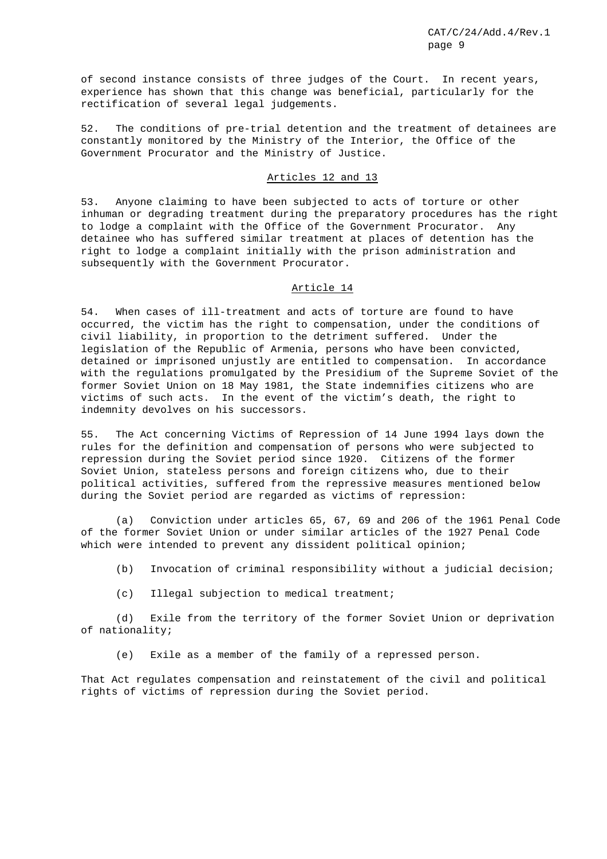of second instance consists of three judges of the Court. In recent years, experience has shown that this change was beneficial, particularly for the rectification of several legal judgements.

52. The conditions of pre-trial detention and the treatment of detainees are constantly monitored by the Ministry of the Interior, the Office of the Government Procurator and the Ministry of Justice.

## Articles 12 and 13

53. Anyone claiming to have been subjected to acts of torture or other inhuman or degrading treatment during the preparatory procedures has the right to lodge a complaint with the Office of the Government Procurator. Any detainee who has suffered similar treatment at places of detention has the right to lodge a complaint initially with the prison administration and subsequently with the Government Procurator.

#### Article 14

54. When cases of ill-treatment and acts of torture are found to have occurred, the victim has the right to compensation, under the conditions of civil liability, in proportion to the detriment suffered. Under the legislation of the Republic of Armenia, persons who have been convicted, detained or imprisoned unjustly are entitled to compensation. In accordance with the regulations promulgated by the Presidium of the Supreme Soviet of the former Soviet Union on 18 May 1981, the State indemnifies citizens who are victims of such acts. In the event of the victim's death, the right to indemnity devolves on his successors.

55. The Act concerning Victims of Repression of 14 June 1994 lays down the rules for the definition and compensation of persons who were subjected to repression during the Soviet period since 1920. Citizens of the former Soviet Union, stateless persons and foreign citizens who, due to their political activities, suffered from the repressive measures mentioned below during the Soviet period are regarded as victims of repression:

(a) Conviction under articles 65, 67, 69 and 206 of the 1961 Penal Code of the former Soviet Union or under similar articles of the 1927 Penal Code which were intended to prevent any dissident political opinion;

(b) Invocation of criminal responsibility without a judicial decision;

(c) Illegal subjection to medical treatment;

(d) Exile from the territory of the former Soviet Union or deprivation of nationality;

(e) Exile as a member of the family of a repressed person.

That Act regulates compensation and reinstatement of the civil and political rights of victims of repression during the Soviet period.